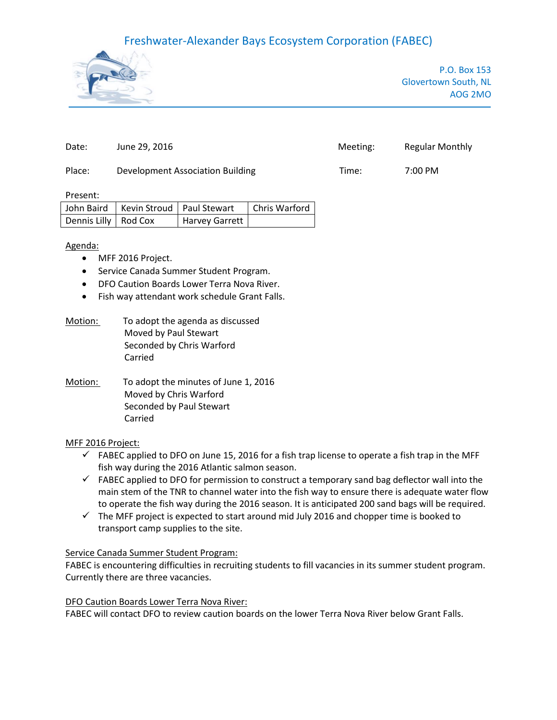## Freshwater-Alexander Bays Ecosystem Corporation (FABEC)



P.O. Box 153 Glovertown South, NL AOG 2MO

| Date:  | June 29, 2016                    | Meeting: | <b>Regular Monthly</b> |
|--------|----------------------------------|----------|------------------------|
| Place: | Development Association Building | Time:    | 7:00 PM                |

Present:

|                        | John Baird   Kevin Stroud   Paul Stewart | Chris Warford |
|------------------------|------------------------------------------|---------------|
| Dennis Lilly   Rod Cox | Harvey Garrett                           |               |

Agenda:

- MFF 2016 Project.
- Service Canada Summer Student Program.
- DFO Caution Boards Lower Terra Nova River.
- Fish way attendant work schedule Grant Falls.
- Motion: To adopt the agenda as discussed Moved by Paul Stewart Seconded by Chris Warford Carried
- Motion: To adopt the minutes of June 1, 2016 Moved by Chris Warford Seconded by Paul Stewart Carried

### MFF 2016 Project:

- $\checkmark$  FABEC applied to DFO on June 15, 2016 for a fish trap license to operate a fish trap in the MFF fish way during the 2016 Atlantic salmon season.
- $\checkmark$  FABEC applied to DFO for permission to construct a temporary sand bag deflector wall into the main stem of the TNR to channel water into the fish way to ensure there is adequate water flow to operate the fish way during the 2016 season. It is anticipated 200 sand bags will be required.
- $\checkmark$  The MFF project is expected to start around mid July 2016 and chopper time is booked to transport camp supplies to the site.

### Service Canada Summer Student Program:

FABEC is encountering difficulties in recruiting students to fill vacancies in its summer student program. Currently there are three vacancies.

#### DFO Caution Boards Lower Terra Nova River:

FABEC will contact DFO to review caution boards on the lower Terra Nova River below Grant Falls.